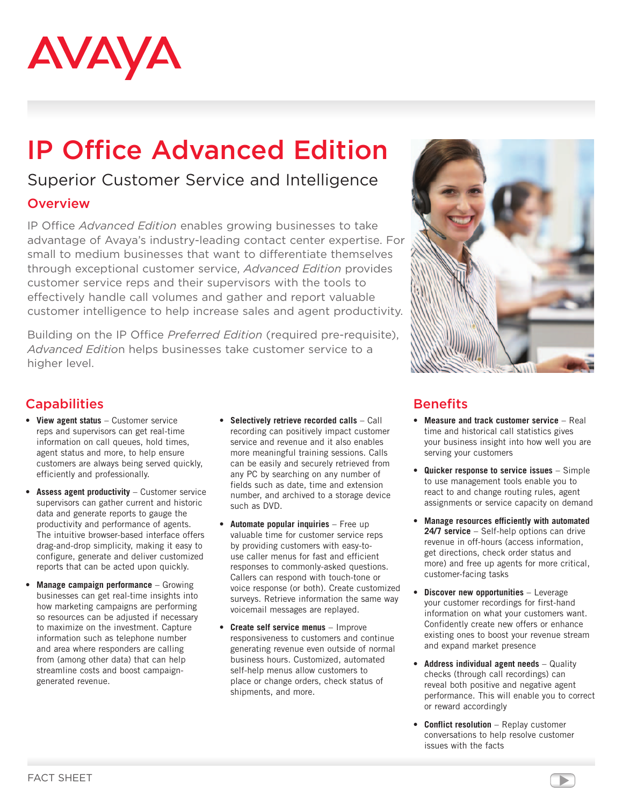

# IP Office Advanced Edition

## Superior Customer Service and Intelligence

#### **Overview**

IP Office *Advanced Edition* enables growing businesses to take advantage of Avaya's industry-leading contact center expertise. For small to medium businesses that want to differentiate themselves through exceptional customer service, *Advanced Edition* provides customer service reps and their supervisors with the tools to effectively handle call volumes and gather and report valuable customer intelligence to help increase sales and agent productivity.

Building on the IP Office *Preferred Edition* (required pre-requisite), *Advanced Editio*n helps businesses take customer service to a higher level.



### **Capabilities**

- • **View agent status** Customer service reps and supervisors can get real-time information on call queues, hold times, agent status and more, to help ensure customers are always being served quickly, efficiently and professionally.
- • **Assess agent productivity** Customer service supervisors can gather current and historic data and generate reports to gauge the productivity and performance of agents. The intuitive browser-based interface offers drag-and-drop simplicity, making it easy to configure, generate and deliver customized reports that can be acted upon quickly.
- • **Manage campaign performance** Growing businesses can get real-time insights into how marketing campaigns are performing so resources can be adjusted if necessary to maximize on the investment. Capture information such as telephone number and area where responders are calling from (among other data) that can help streamline costs and boost campaigngenerated revenue.
- • **Selectively retrieve recorded calls** Call recording can positively impact customer service and revenue and it also enables more meaningful training sessions. Calls can be easily and securely retrieved from any PC by searching on any number of fields such as date, time and extension number, and archived to a storage device such as DVD.
- • **Automate popular inquiries** Free up valuable time for customer service reps by providing customers with easy-touse caller menus for fast and efficient responses to commonly-asked questions. Callers can respond with touch-tone or voice response (or both). Create customized surveys. Retrieve information the same way voicemail messages are replayed.
- • **Create self service menus** Improve responsiveness to customers and continue generating revenue even outside of normal business hours. Customized, automated self-help menus allow customers to place or change orders, check status of shipments, and more.

#### **Benefits**

- • **Measure and track customer service** Real time and historical call statistics gives your business insight into how well you are serving your customers
- • **Quicker response to service issues** Simple to use management tools enable you to react to and change routing rules, agent assignments or service capacity on demand
- • **Manage resources efficiently with automated 24/7 service** – Self-help options can drive revenue in off-hours (access information, get directions, check order status and more) and free up agents for more critical, customer-facing tasks
- **Discover new opportunities** Leverage your customer recordings for first-hand information on what your customers want. Confidently create new offers or enhance existing ones to boost your revenue stream and expand market presence
- • **Address individual agent needs** Quality checks (through call recordings) can reveal both positive and negative agent performance. This will enable you to correct or reward accordingly
- • **Conflict resolution** Replay customer conversations to help resolve customer issues with the facts